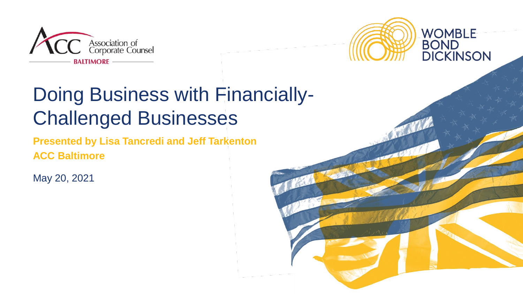



### Doing Business with Financially-Challenged Businesses

**Presented by Lisa Tancredi and Jeff Tarkenton ACC Baltimore**

May 20, 2021

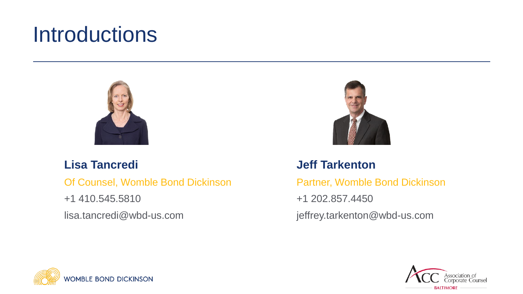### **Introductions**



#### **Lisa Tancredi**

Of Counsel, Womble Bond Dickinson

+1 410.545.5810

lisa.tancredi@wbd-us.com



#### **Jeff Tarkenton**

Partner, Womble Bond Dickinson

+1 202.857.4450

jeffrey.tarkenton@wbd-us.com



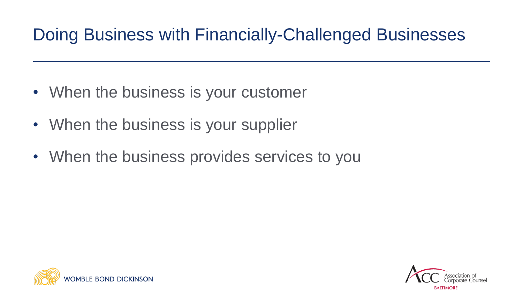### Doing Business with Financially-Challenged Businesses

- When the business is your customer
- When the business is your supplier
- When the business provides services to you



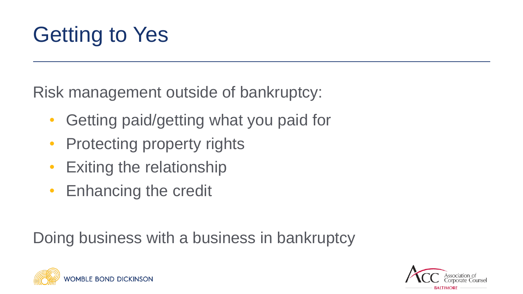# Getting to Yes

Risk management outside of bankruptcy:

- Getting paid/getting what you paid for
- Protecting property rights
- Exiting the relationship
- Enhancing the credit

Doing business with a business in bankruptcy



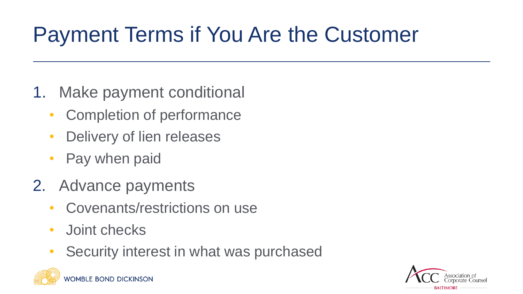# Payment Terms if You Are the Customer

- 1. Make payment conditional
	- Completion of performance
	- Delivery of lien releases
	- Pay when paid
- 2. Advance payments
	- Covenants/restrictions on use
	- Joint checks
	- Security interest in what was purchased

**WOMBLE BOND DICKINSON** 

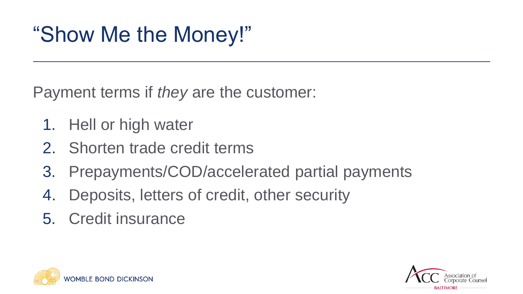## "Show Me the Money!"

Payment terms if *they* are the customer:

- 1. Hell or high water
- 2. Shorten trade credit terms
- 3. Prepayments/COD/accelerated partial payments
- 4. Deposits, letters of credit, other security
- 5. Credit insurance



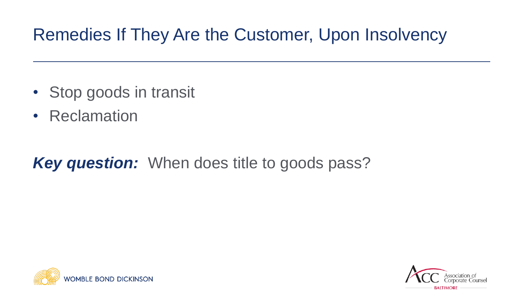### Remedies If They Are the Customer, Upon Insolvency

- Stop goods in transit
- Reclamation

### *Key question:* When does title to goods pass?



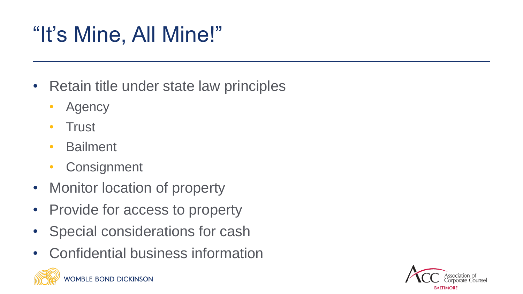# "It's Mine, All Mine!"

- Retain title under state law principles
	- **Agency**
	- Trust
	- Bailment
	- **Consignment**
- Monitor location of property
- Provide for access to property
- Special considerations for cash
- Confidential business information



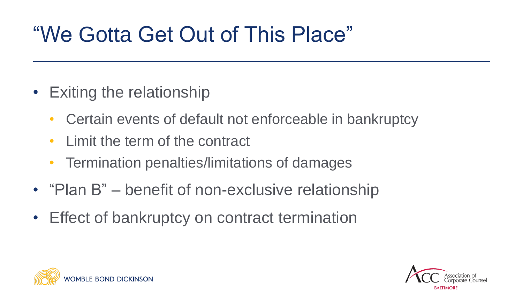## "We Gotta Get Out of This Place"

- Exiting the relationship
	- Certain events of default not enforceable in bankruptcy
	- Limit the term of the contract
	- Termination penalties/limitations of damages
- "Plan B" benefit of non-exclusive relationship
- Effect of bankruptcy on contract termination



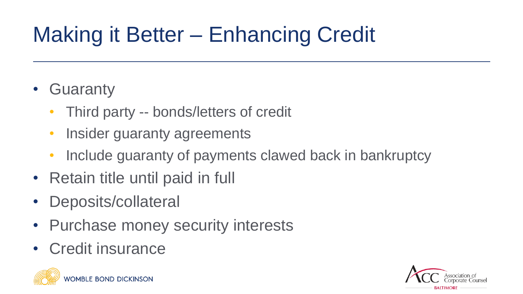# Making it Better – Enhancing Credit

### • Guaranty

- Third party -- bonds/letters of credit
- **Insider guaranty agreements**
- Include guaranty of payments clawed back in bankruptcy
- Retain title until paid in full
- Deposits/collateral
- Purchase money security interests
- Credit insurance



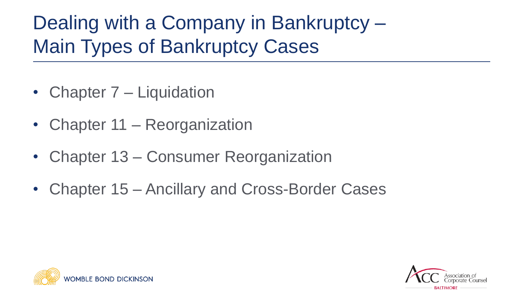### Dealing with a Company in Bankruptcy – Main Types of Bankruptcy Cases

- Chapter 7 Liquidation
- Chapter 11 Reorganization
- Chapter 13 Consumer Reorganization
- Chapter 15 Ancillary and Cross-Border Cases



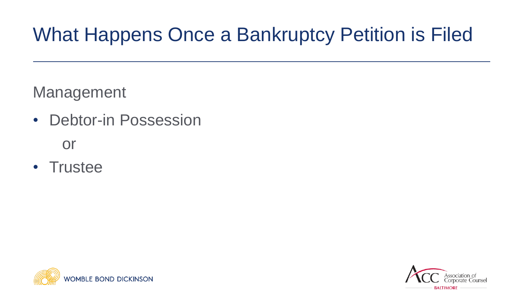### What Happens Once a Bankruptcy Petition is Filed

Management

- Debtor-in Possession or
- Trustee



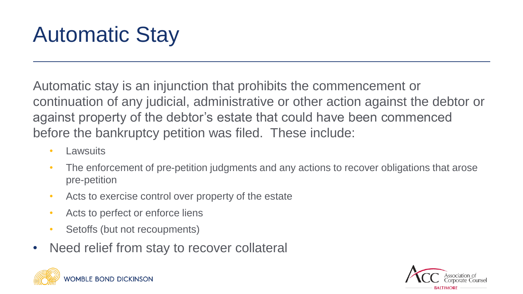# Automatic Stay

Automatic stay is an injunction that prohibits the commencement or continuation of any judicial, administrative or other action against the debtor or against property of the debtor's estate that could have been commenced before the bankruptcy petition was filed. These include:

- Lawsuits
- The enforcement of pre-petition judgments and any actions to recover obligations that arose pre-petition
- Acts to exercise control over property of the estate
- Acts to perfect or enforce liens
- Setoffs (but not recoupments)
- Need relief from stay to recover collateral



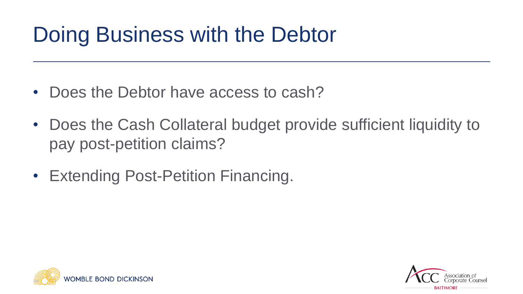## Doing Business with the Debtor

- Does the Debtor have access to cash?
- Does the Cash Collateral budget provide sufficient liquidity to pay post-petition claims?
- Extending Post-Petition Financing.



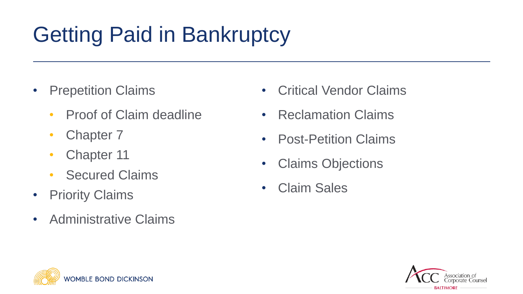# Getting Paid in Bankruptcy

- Prepetition Claims
	- Proof of Claim deadline
	- Chapter 7
	- Chapter 11
	- **Secured Claims**
- Priority Claims
- Administrative Claims
- Critical Vendor Claims
- Reclamation Claims
- Post-Petition Claims
- Claims Objections
- Claim Sales



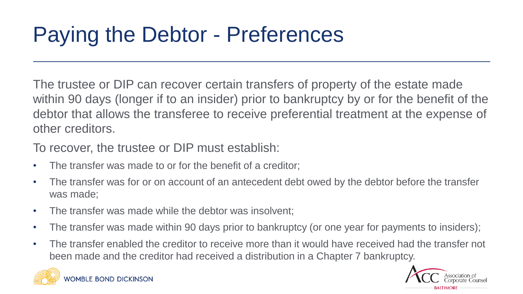# Paying the Debtor - Preferences

The trustee or DIP can recover certain transfers of property of the estate made within 90 days (longer if to an insider) prior to bankruptcy by or for the benefit of the debtor that allows the transferee to receive preferential treatment at the expense of other creditors.

To recover, the trustee or DIP must establish:

- The transfer was made to or for the benefit of a creditor;
- The transfer was for or on account of an antecedent debt owed by the debtor before the transfer was made;
- The transfer was made while the debtor was insolvent;
- The transfer was made within 90 days prior to bankruptcy (or one year for payments to insiders);
- The transfer enabled the creditor to receive more than it would have received had the transfer not been made and the creditor had received a distribution in a Chapter 7 bankruptcy.



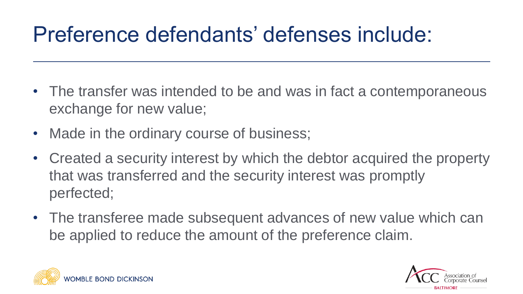## Preference defendants' defenses include:

- The transfer was intended to be and was in fact a contemporaneous exchange for new value;
- Made in the ordinary course of business;
- Created a security interest by which the debtor acquired the property that was transferred and the security interest was promptly perfected;
- The transferee made subsequent advances of new value which can be applied to reduce the amount of the preference claim.



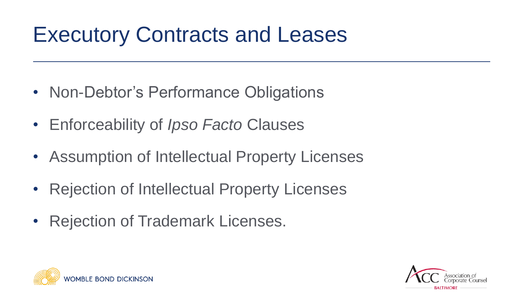### Executory Contracts and Leases

- Non-Debtor's Performance Obligations
- Enforceability of *Ipso Facto* Clauses
- Assumption of Intellectual Property Licenses
- Rejection of Intellectual Property Licenses
- Rejection of Trademark Licenses.



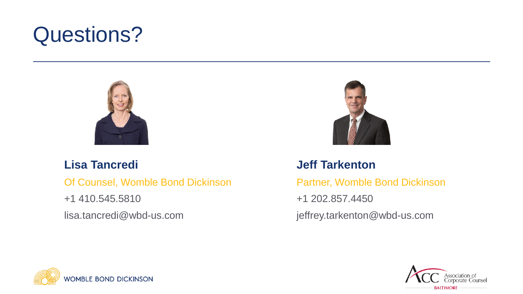### Questions?



#### **Lisa Tancredi**

Of Counsel, Womble Bond Dickinson

+1 410.545.5810

lisa.tancredi@wbd-us.com



#### **Jeff Tarkenton**

Partner, Womble Bond Dickinson

+1 202.857.4450

jeffrey.tarkenton@wbd-us.com